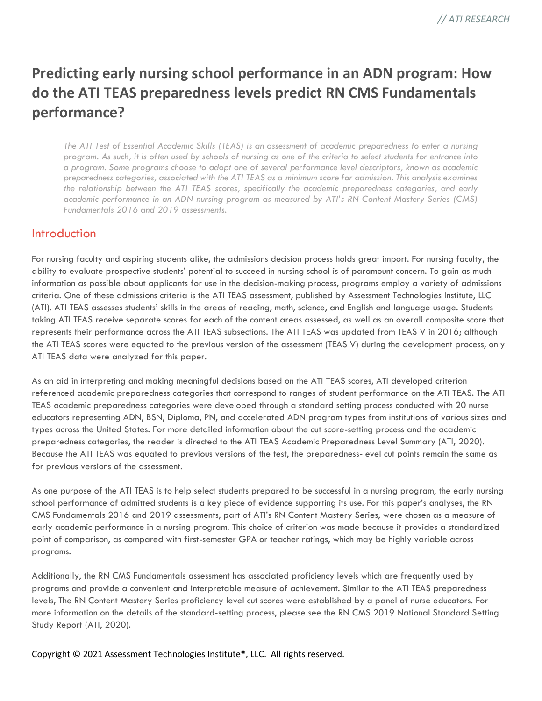# **Predicting early nursing school performance in an ADN program: How do the ATI TEAS preparedness levels predict RN CMS Fundamentals performance?**

*The ATI Test of Essential Academic Skills (TEAS) is an assessment of academic preparedness to enter a nursing program. As such, it is often used by schools of nursing as one of the criteria to select students for entrance into a program. Some programs choose to adopt one of several performance level descriptors, known as academic preparedness categories, associated with the ATI TEAS as a minimum score for admission. This analysis examines the relationship between the ATI TEAS scores, specifically the academic preparedness categories, and early academic performance in an ADN nursing program as measured by ATI's RN Content Mastery Series (CMS) Fundamentals 2016 and 2019 assessments.*

### **Introduction**

For nursing faculty and aspiring students alike, the admissions decision process holds great import. For nursing faculty, the ability to evaluate prospective students' potential to succeed in nursing school is of paramount concern. To gain as much information as possible about applicants for use in the decision-making process, programs employ a variety of admissions criteria. One of these admissions criteria is the ATI TEAS assessment, published by Assessment Technologies Institute, LLC (ATI). ATI TEAS assesses students' skills in the areas of reading, math, science, and English and language usage. Students taking ATI TEAS receive separate scores for each of the content areas assessed, as well as an overall composite score that represents their performance across the ATI TEAS subsections. The ATI TEAS was updated from TEAS V in 2016; although the ATI TEAS scores were equated to the previous version of the assessment (TEAS V) during the development process, only ATI TEAS data were analyzed for this paper.

As an aid in interpreting and making meaningful decisions based on the ATI TEAS scores, ATI developed criterion referenced academic preparedness categories that correspond to ranges of student performance on the ATI TEAS. The ATI TEAS academic preparedness categories were developed through a standard setting process conducted with 20 nurse educators representing ADN, BSN, Diploma, PN, and accelerated ADN program types from institutions of various sizes and types across the United States. For more detailed information about the cut score-setting process and the academic preparedness categories, the reader is directed to the ATI TEAS Academic Preparedness Level Summary (ATI, 2020). Because the ATI TEAS was equated to previous versions of the test, the preparedness-level cut points remain the same as for previous versions of the assessment.

As one purpose of the ATI TEAS is to help select students prepared to be successful in a nursing program, the early nursing school performance of admitted students is a key piece of evidence supporting its use. For this paper's analyses, the RN CMS Fundamentals 2016 and 2019 assessments, part of ATI's RN Content Mastery Series, were chosen as a measure of early academic performance in a nursing program. This choice of criterion was made because it provides a standardized point of comparison, as compared with first-semester GPA or teacher ratings, which may be highly variable across programs.

Additionally, the RN CMS Fundamentals assessment has associated proficiency levels which are frequently used by programs and provide a convenient and interpretable measure of achievement. Similar to the ATI TEAS preparedness levels, The RN Content Mastery Series proficiency level cut scores were established by a panel of nurse educators. For more information on the details of the standard-setting process, please see the RN CMS 2019 National Standard Setting Study Report (ATI, 2020).

#### Copyright © 2021 Assessment Technologies Institute®, LLC. All rights reserved.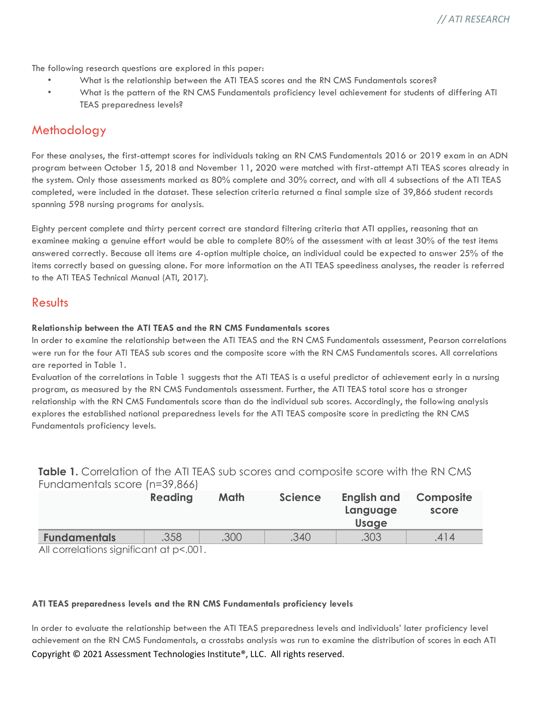The following research questions are explored in this paper:

- What is the relationship between the ATI TEAS scores and the RN CMS Fundamentals scores?
- What is the pattern of the RN CMS Fundamentals proficiency level achievement for students of differing ATI TEAS preparedness levels?

# **Methodology**

For these analyses, the first-attempt scores for individuals taking an RN CMS Fundamentals 2016 or 2019 exam in an ADN program between October 15, 2018 and November 11, 2020 were matched with first-attempt ATI TEAS scores already in the system. Only those assessments marked as 80% complete and 30% correct, and with all 4 subsections of the ATI TEAS completed, were included in the dataset. These selection criteria returned a final sample size of 39,866 student records spanning 598 nursing programs for analysis.

Eighty percent complete and thirty percent correct are standard filtering criteria that ATI applies, reasoning that an examinee making a genuine effort would be able to complete 80% of the assessment with at least 30% of the test items answered correctly. Because all items are 4-option multiple choice, an individual could be expected to answer 25% of the items correctly based on guessing alone. For more information on the ATI TEAS speediness analyses, the reader is referred to the ATI TEAS Technical Manual (ATI, 2017).

### Results

#### **Relationship between the ATI TEAS and the RN CMS Fundamentals scores**

In order to examine the relationship between the ATI TEAS and the RN CMS Fundamentals assessment, Pearson correlations were run for the four ATI TEAS sub scores and the composite score with the RN CMS Fundamentals scores. All correlations are reported in Table 1.

Evaluation of the correlations in Table 1 suggests that the ATI TEAS is a useful predictor of achievement early in a nursing program, as measured by the RN CMS Fundamentals assessment. Further, the ATI TEAS total score has a stronger relationship with the RN CMS Fundamentals score than do the individual sub scores. Accordingly, the following analysis explores the established national preparedness levels for the ATI TEAS composite score in predicting the RN CMS Fundamentals proficiency levels.

**Table 1.** Correlation of the ATI TEAS sub scores and composite score with the RN CMS Fundamentals score (n=39,866) **Table 1.** Correlation of the ATI TEAS sub scores and composite score with the RN CMS

|                     | <b>Reading</b>              | Math | <b>Science</b> | <b>English and</b><br>Language<br><b>Usage</b> | Composite<br>score |
|---------------------|-----------------------------|------|----------------|------------------------------------------------|--------------------|
| <b>Fundamentals</b> | .358                        | .300 | .340           | .303                                           | .414               |
| <b>A II</b>         | $\sim$ $\sim$ $\sim$ $\sim$ |      |                |                                                |                    |

All correlations significant at p<.001.

#### **ATI TEAS preparedness levels and the RN CMS Fundamentals proficiency levels**

Copyright © 2021 Assessment Technologies Institute®, LLC. All rights reserved. In order to evaluate the relationship between the ATI TEAS preparedness levels and individuals' later proficiency level achievement on the RN CMS Fundamentals, a crosstabs analysis was run to examine the distribution of scores in each ATI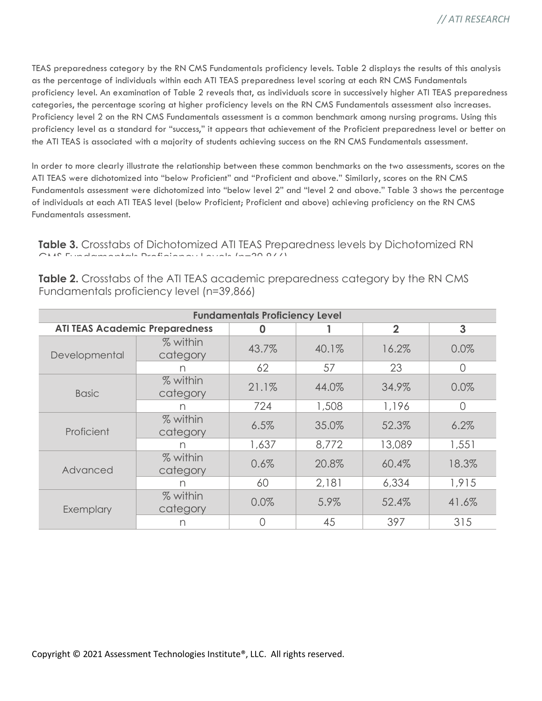TEAS preparedness category by the RN CMS Fundamentals proficiency levels. Table 2 displays the results of this analysis as the percentage of individuals within each ATI TEAS preparedness level scoring at each RN CMS Fundamentals proficiency level. An examination of Table 2 reveals that, as individuals score in successively higher ATI TEAS preparedness categories, the percentage scoring at higher proficiency levels on the RN CMS Fundamentals assessment also increases. Proficiency level 2 on the RN CMS Fundamentals assessment is a common benchmark among nursing programs. Using this proficiency level as a standard for "success," it appears that achievement of the Proficient preparedness level or better on the ATI TEAS is associated with a majority of students achieving success on the RN CMS Fundamentals assessment.

In order to more clearly illustrate the relationship between these common benchmarks on the two assessments, scores on the ATI TEAS were dichotomized into "below Proficient" and "Proficient and above." Similarly, scores on the RN CMS Fundamentals assessment were dichotomized into "below level 2" and "level 2 and above." Table 3 shows the percentage of individuals at each ATI TEAS level (below Proficient; Proficient and above) achieving proficiency on the RN CMS Fundamentals assessment.

**Table 3.** Crosstabs of Dichotomized ATI TEAS Preparedness levels by Dichotomized RN CMS Fundamentals Proficiency Levels (n=39,866)

| <b>Fundamentals Proficiency Level</b> |                      |       |       |                |          |  |  |  |  |
|---------------------------------------|----------------------|-------|-------|----------------|----------|--|--|--|--|
| <b>ATI TEAS Academic Preparedness</b> |                      |       |       | $\overline{2}$ | 3        |  |  |  |  |
| Developmental                         | % within<br>category | 43.7% | 40.1% | 16.2%          | 0.0%     |  |  |  |  |
|                                       |                      | 62    | 57    | 23             | $\Omega$ |  |  |  |  |
| <b>Basic</b>                          | % within<br>category | 21.1% | 44.0% | 34.9%          | 0.0%     |  |  |  |  |
|                                       | n                    | 724   | 1,508 | 1,196          | 0        |  |  |  |  |
| Proficient                            | % within<br>category | 6.5%  | 35.0% | 52.3%          | 6.2%     |  |  |  |  |
|                                       | n                    | 1,637 | 8,772 | 13,089         | 1,551    |  |  |  |  |
| Advanced                              | % within<br>category | 0.6%  | 20.8% | 60.4%          | 18.3%    |  |  |  |  |
|                                       | n                    | 60    | 2,181 | 6,334          | 1,915    |  |  |  |  |
| Exemplary                             | % within<br>category | 0.0%  | 5.9%  | 52.4%          | 41.6%    |  |  |  |  |
|                                       | n                    | 0     | 45    | 397            | 315      |  |  |  |  |

**Table 2.** Crosstabs of the ATI TEAS academic preparedness category by the RN CMS Fundamentals proficiency level (n=39,866)